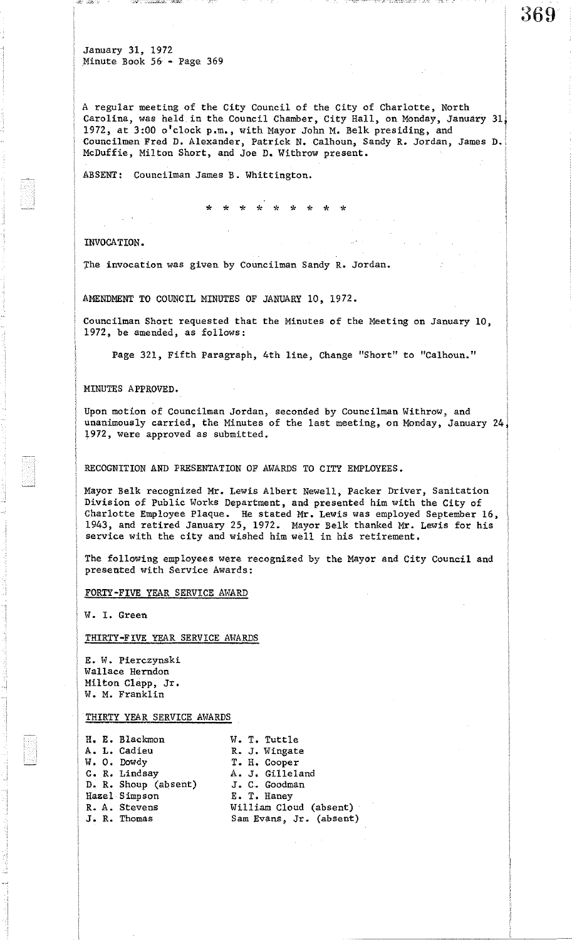TOMOT ENGLANDED ANNO

A regular meeting of the City Council of the City of Charlotte, North Carolina, was held in the Council Chamber, City Hall, on Monday, January 31, 1972, at 3:00 o'clock p.m., with Mayor John M. Belk presiding, and Councilmen Fred D. Alexander, Patrick N. Calhoun, Sandy R. Jordan, James D. McDuffie, Milton Short, and Joe D. Withrow present.

an an angliann an haife

369

ABSENT: Councilman James B. Whittington.

\* \* \* \* \* \* \* \* \*

INVOCATION.

MA SANTO

The invocation was given by Councilman Sandy R. Jordan.

AMENDMENT TO COUNCIL MINUTES OF JANUARY 10, 1972.

Councilman Short requested that the Minutes of the Meeting on January 10, 1972, be amended, as follows:

Page 321, Fifth paragraph, 4th line, Change "Short" to "Calhoun."

MINUTES APPROVED.

Upon motion of Councilman Jordan, seconded by Councilman Withrow, and unanimously carried, the Minutes of the last meeting, on Monday, January 24, 1972, Were approved as submitted.

RECOGNITION AND PRESENTATION OF AWARDS TO CITY EMPLOYEES.

Mayor Belk recognized Mr. Lewis Albert Newell, Packer Driver, Sanitation Division of Public Works Department, and presented him with the City of Charlotte Employee Plaque. He stated Mr. Lewis was employed September 16, 1943, and retired January 25, 1972. Mayor Belk thanked Mr. Lewis for his service with the city and Wished him well in his retirement.

The following employees were recognized by the Mayor and City Council and presented with Service Awards:

FORTY-FIVE YEAR SERVICE AWARD

W. 1. Green

THIRTY-FIVE YEAR SERVICE AWARDS

E. W. Pierczynski Wallace Herndon Milton Clapp, Jr. W. M. Franklin

# THIRTY YEAR SERVICE AWARDS

| H. E. Blackmon       | W. T. Tuttle            |
|----------------------|-------------------------|
| A. L. Cadieu         | R. J. Wingate           |
| W. O. Dowdy          | T. H. Cooper            |
| C. R. Lindsay        | A. J. Gilleland         |
| D. R. Shoup (absent) | J. C. Goodman           |
| Hazel Simpson        | E. T. Haney             |
| R. A. Stevens        | William Cloud (absent)  |
| J. R. Thomas         | Sam Evans, Jr. (absent) |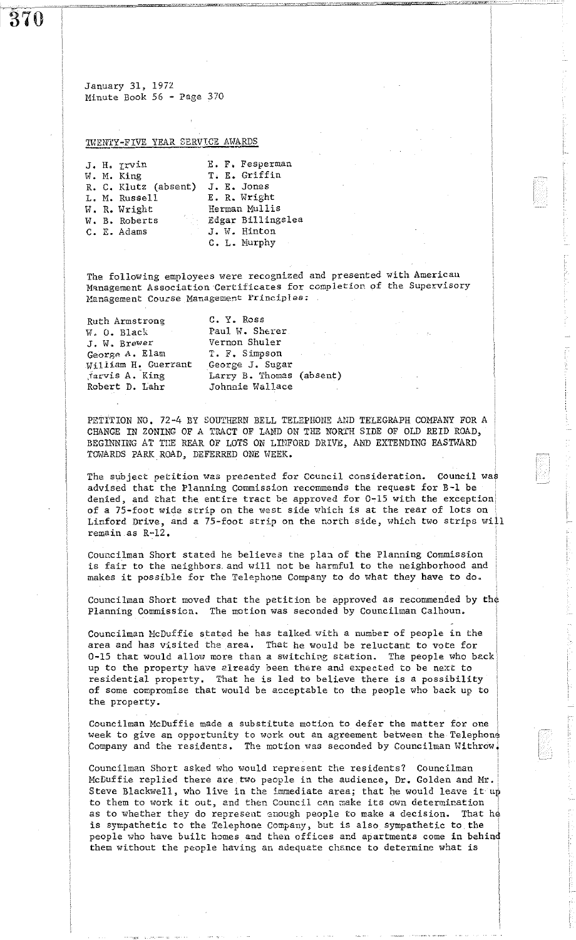#### TWENTY-FIVE YEAR SERVICE AWARDS

|  | J. H. Irvin                      | E. F. Fesperman   |
|--|----------------------------------|-------------------|
|  | W. M. King                       | T. E. Griffin     |
|  | R. C. Klutz (absent) J. E. Jones |                   |
|  | L. M. Russell                    | E. R. Wright      |
|  | W. R. Wright                     | Herman Mullis     |
|  | W. B. Roberts                    | Edgar Billingslea |
|  | C. E. Adams                      | J. W. Hinton      |
|  |                                  | C. L. Murphy      |

The following employees were recognized and presented with American Management Association Certificates for completion of the Supervisory **l-1anagement Course Management Principles;** 

~"-

-"--

| C. Y. Ross      |                                           |
|-----------------|-------------------------------------------|
| Paul W. Sherer  |                                           |
| Vernon Shuler   |                                           |
|                 |                                           |
| George J. Sugar |                                           |
|                 |                                           |
| Johnnie Wallace |                                           |
|                 | T. F. Simpson<br>Larry B. Thomas (absent) |

PETITION NO. 72-4 BY SOUTHERN BELL TELEPHONE AND TELEGRAPH COMPANY FOR A CHANGE IN ZONING OF A TRACT OF LAND ON THE NORTH SIDE OF OLD REID ROAD, BEGINNING AT THE REAR OF LOTS ON LINFORD DRIVE, AND EXTENDING EASTWARD TOWARDS PARK ROAD, DEFERRED ONE WEEK.

The subject petition was presented for Council consideration. Council was advised that the Planning Commission recommends the request for B-1 be denied, and that the entire tract be approved for 0-15 with the exception of a 75-foot wide strip on the west side which is at the rear of lots on Linford Drive, and a 75-foot strip on the north side, which two strips will remain as R··12.

Councilman Short stated he believes the plan of the Planning Commission is fair to the neighbors and will not be harmful to the neighborhood and makes it possible for the Telephone Company to do what they have to do.

Councillnan Short moved that the petition be approved as recommended by the Planning Commission. The motion was seconded by Councilman Calhoun.

Councilman McDuffie stated he has talked with a number of people in the area and has visited the area. That he would be reluctant to vote for **0-15 that would allow more than a switching station. The people who back** up to the property have already been there and expected to be next to residential property. That he is led to believe there is a possibility of some compromise that would be acceptable to the people who back up to the property.

Councilman McDuffie made a substitute motion to defer the matter for one week to give an opportunity to work out an agreement between the Telephone **Company and the residents. The motion was seconded by Councilman Withrow.** 

Councilman Short asked who would represent the residents? Councilman McDuffie replied there are two people in the audience, Dr. Golden and Mr. Steve Blackwell, who live in the immediate area; that he would leave it up to them to work it out, and then Council can make its own determination as to whether they do represent enough people to make a decision. That he is sympathetic to the Telephone Company, but is also sympathetic to the people who have built homes and then offices and apartments come in behind them without the people having an adequate chance to determine what is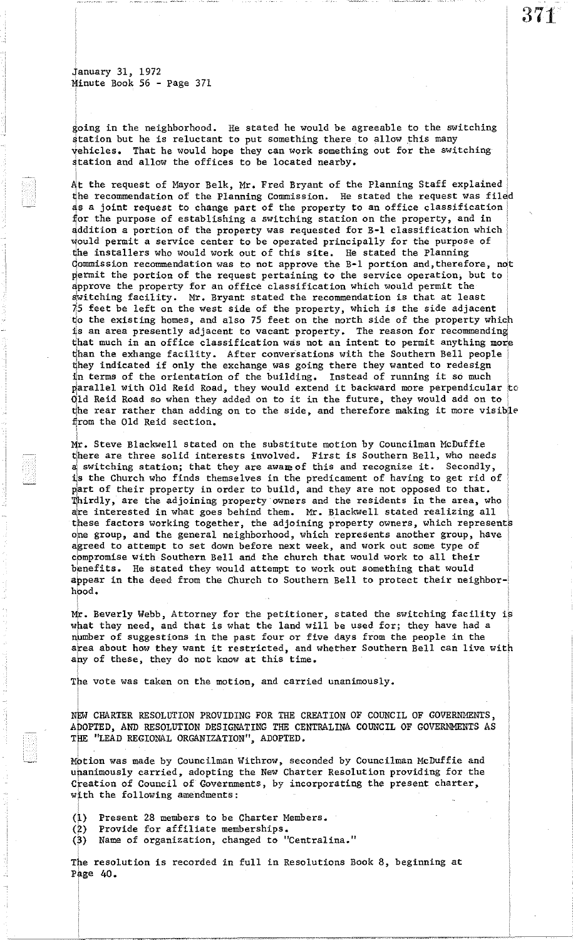371

january 31, 1972 Minute Book 56 - Page 371

going in the neighborhood. He stated he would be agreeable to the switching station but he is reluctant to put something there to allow this many vehicles. That he would hope they can work something out for the switching station and allow the offices to be located nearby.

 $\frac{1}{2}$  at the request of Mayor Belk, Mr. Fred Bryant of the Planning Staff explained  $\frac{1}{2}$ the recommendation of the Planning Commission. He stated the request was filed as a joint request to change part of the property to an office classification for the purpose of establishing a switching station on the property, and in addition a portion of the property was requested for B-1 classification which would permit a service center to be operated principally for the purpose of the installers who would work out of this site. He stated the Planning qommission recommendation was to not approve the B-1 portion and,therefore, no't permit the portion of the request pertaining to the service operation, but to approve the property for an office classification which would permit the switching facility. Mr. Bryant stated the recommendation is that at least  $75$  feet be left on the west side of the property, which is the side adjacent to the existing homes, and also 75 feet on the north side of the property which  $1s$  an area presently adjacent to vacant property. The reason for recommending that much in an office classification was not an intent to permit anything more than the exhange facility. After conversations with the Southern Bell people they indicated if only the exchange was going there they wanted to redesign in terms of the orientation of the building. Instead of running it so much parallel with Old Reid Road, they would extend it backward more perpendicular to Old Reid Road so when they added on to it in the future, they would add on to the rear rather than adding on to the side, and therefore making it more visible from the Old Reid section.

Mr. Steve Blackwell stated on the substitute motion by Councilman McDuffie there are three solid interests involved. First is Southern Bell, who needs a switching station; that they are awam of this and recognize it. Secondly, is the Church who finds themselves in the predicament of having to get rid of part of their property in order to build, and they are not opposed to that. Thirdly, are the adjoining property owners and the residents in the area, who are interested in what goes behind them. Mr. Blackwell stated realizing all these factors working together, the adjoining property owners, which represents one group, and the general neighborhood, which represents another group, have agreed to attempt to set down before next week, and work out some type of cpmpromise with Southern Bell and the church that would work to all their benefits. He stated they would attempt to work out something that would appear in the deed from the Church to Southern Bell to protect their neighborhpod.

Mr. Beverly Webb, Attorney for the petitioner, stated the switching facility is what they need, and that is what the land will be used for; they have had a number of suggestions in the past four or five days from the people in the area about how they want it restricted, and whether Southern Bell can live with any of these, they do not know at this time.

The vote was taken on the motion, and carried unanimously.

l<br>L NEw CHARTER RESOLUTION PROVIDING FOR THE CREATION OF COUNCIL OF GOVERN11ENTS, ADOPTED, AND RESOLUTION DESIGNATING THE CENTRALINA COUNCIL OF GOVERNMENTS AS THE "LEAD REGIONAL ORGANIZATION", ADOPTED.  $\Box$  .

Motion was made by Councilman Withrow, seconded by Councilman McDuffie and upanimously carried, adopting the New Charter Resolution providing for the Creation of Council of Governments, by incorporating the present charter, with the following amendments: ,

 $(1)$ Present 28 members to be Charter Members.

 $(2)$ Provide for affiliate memberships.

 $(3)$ Name of organization, changed to "Centralina."

The resolution is recorded in full in Resolutions Book 8, beginning at Page 40.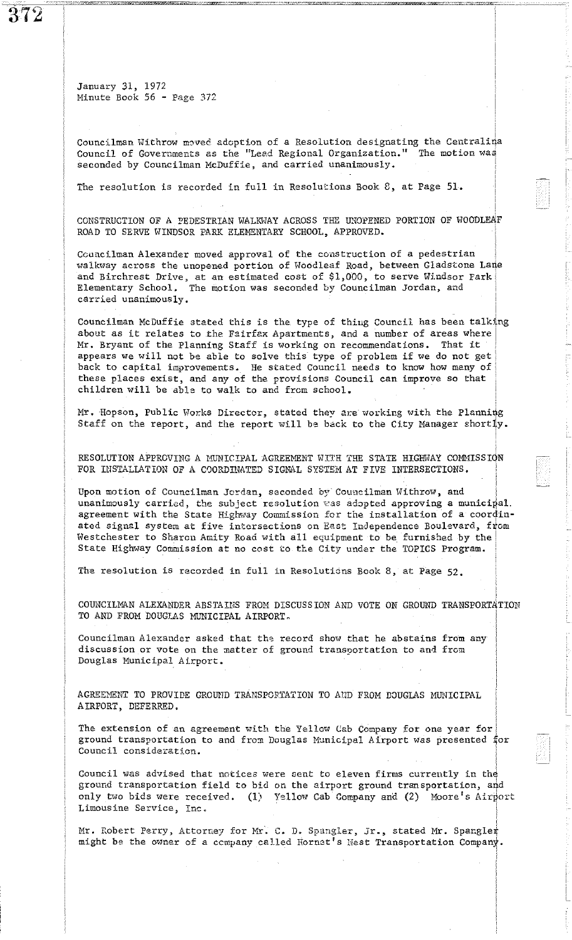**372** 

January 31, 1972 Minute Book 56 - Page 372

l<br>L  $\alpha$  Councilman Withrow moved adoption of a Resolution designating the Centralina Council of Governments as the "Lead Regional Organization." The motion was seconded by Councilman McDuffie, and carried unanimously.

The resolution is recorded in full in Resolutions Book 8, at Page 51.

CONSTRUCTION OF A PEDESTRIAN WALKWAY ACROSS THE UNOPENED PORTION OF WOODLEAF ROAD TO SERVE WINDSOR PARK ELEMENTARY SCHOOL, APPROVED.

Ccuucilman Alexander moved approval of the construction of a pedestrian walkway across the unopened portion of Woodleaf Road, between Gladstone Lane and Birchrest Drive, at an estimated cost of \$1,000, to serve Windsor Fark Elementary School. The motion was seconded by Councilman Jordan, and carried unanimously.

Councilman McDuffie stated this is the type of thing Council has been talking about as it relates to the Fairfax Apartments, and a number of areas where Mr. Bryant of the Planning Staff is working on recommendations. That it Mr. Bryant of the Planning Staff is working on recommendations. appears we will not be able to solve this type of problem if we do not get back to capital improvements. He stated Council needs to know how many of these places exist, and any of the provisions Council can improve so that children will be able to walk to and from school.

Mr. Hopson, Public Works Director, stated they are working with the Planning Staff on the report, and the report will be back to the City Manager shortly.

RESOLUTION APPROVING A MUNICIPAL AGREEMENT WITH THE STATE HIGHWAY COMMISSION FOR INSTALLATION OF A COORDINATED SIGNAL SYSTEM AT FIVE INTERSECTIONS.

**Upon motion of Councilman** Jo~dan, **seconded D-;Y' Councilman Withrow, and**  unanimously carried, the subject resolution was adopted approving a municipal. agreement with the State Highway Commission for the installation of a coordinated signal system at five intersections on East Independence Boulevard, from Westchester to Sharon Amity Road with all equipment to be furnished by the State Highway Commission at no cost to the City under the TOPICS Program.

The resolution is recorded in full in Resolutions Book 8, at Page 52.

COUNCILMAN ALEXANDER ABSTAINS FROM DISCUSSION AND VOTE ON GROUND TRANSPORTATION TO AND FROM DOUGLAS MUNICIPAL AIRPORT.

Councilman Alexander asked that the record show that he abstains from any discussion or vote on the matter of ground transportation to and from Douglas Municipal Airport.

AGREEMENT TO PROVIDE GROUND TRANSPORTATION TO AND FROM DOUGLAS MUNICIPAL AIRPORT, DEFERRED.

The extension of an agreement with the Yellow Cab Company for one year for ground transportation to and from Douglas Municipal Airport was presented for **Council consideration.** ;

Council was advised that notices were sent to eleven firms currently in the ground transportation field to bid on the airport ground transportation, and only two bids were received. (1) Yellow Cab Company and (2) Moore's Airport Limousine Service, Inc.

;

T

Mr. Robert Perry, Attorney for Mr. C. D. Spangler, Jr., stated Mr. Spangler might be the owner of a company called Hornet's Nest Transportation Company.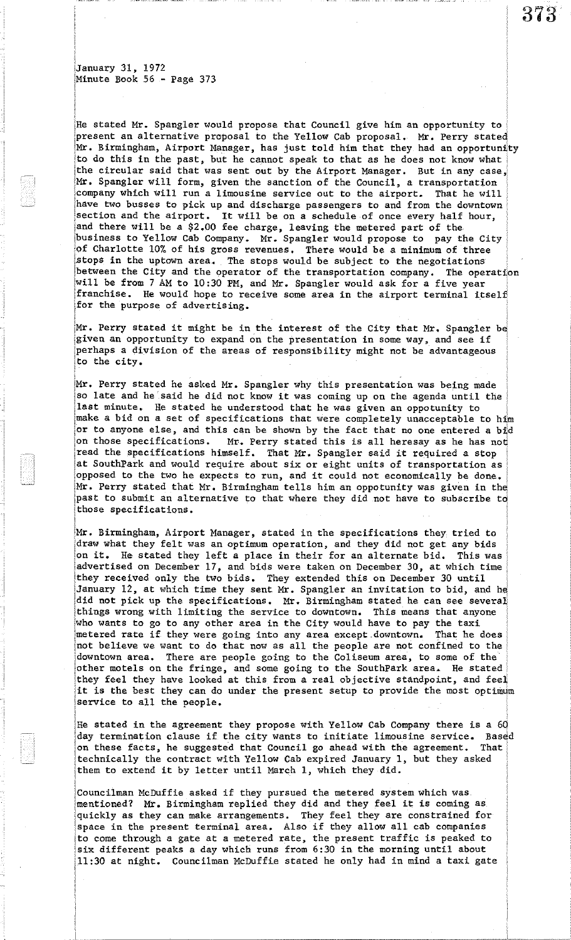I

I

He stated Mr. Spangler would propose that Council give him an opportunity to present an alternative proposal to the Yellow Cab proposal. Mr. Perry stated Mr. Birmingham, Airport Manager, has just told him that they had an opportunity ito do this in the past, but he cannot speak to that as he does not know what the circular said that was sent out by the Airport Manager. But in any case, iMr. Spangler will form, given the sanction of the Council, a transportation company which will run a limousine service out to the airport. That he will have two busses to pick up and discharge passengers to and from the downtown section and the airport. It will be on a schedule of once every half hour, and there will be a \$2.00 fee charge, leaving the metered part of the  $\vert$ business to Yellow Cab Company. Mr. Spangler would propose to pay the City  $|$ of Charlotte 10% of his gross revenues. There would be a minimum of three jstops in the uptown area. The stops would be subject to the negotiations between the City and the operator of the transportation company. The operation will be from 7 AM to 10:30 PM, and Mr. Spangler would ask for a five year franchise. He would hope to receive some area in the airport terminal itself for the purpose of advertising.

Mr. Perry stated it might be in the interest of the City that Mr. Spangler be given an opportunity to expand on the presentation in some way, and see if perhaps a division of the areas of responsibility might not be advantageous to the city.

iMr. Perry stated he asked Mr. Spangler why this presentation was being made Iso late and he' said he did not know it was coming up on the agenda until the last minute. He stated he understood that he was given an oppotunity to make a bid on a set of specifications that were completely unacceptable to him or to anyone else, and this can be shown by the fact that no one entered a b $\mathring{\mathbb{d}}$ d on those specifications. Mr. Perry stated this is all heresay as he has not read the specifications himself. That Mr. Spangler said it required a stop at SouthPark and would require about six or eight units of transportation as opposed to the two he expects to run, and it could not economically be done. Mr. Perry stated that Mr. Birmingham tells him an oppotunity was given in the past to submit an alternative to that where they did not have to subscribe to those specifications.

iMr. Birmingham, Airport Manager, stated in the specifications they tried to idraw what they felt was an optimum operation, and they did not get any bids on it. He stated they left a place in their for an alternate bid. This was advertised on December 17, and bids were taken on December 30, at which time they received only the two bids. They extended this on December 30 until January 12, at which time they sent Mr. Spangler an invitation to bid, and he did not pick up the specifications. Mr. Birmingham stated he can see several things wrong with limiting the service to downtown. This means that anyone who wants to go to any other area in the City would have to pay the taxi metered rate if they were going into any area except downtown. That he does not believe we want to do that now as all the people are not confined to the downtown area. There are people going to the Coliseum area, to some of the other motels on the fringe, and some going to the SouthPark area. He stated they feel they have looked at this from a real objective standpoint, and feel it is the best they can do under the present setup to provide the most optimum service to all the people.

IRe stated in the agreement they propose with Yellow Cab Company there is a 6d day termination clause if the city wants to initiate limousine service. Based on these facts, he suggested that Council go ahead with the agreement. That technically the contract with Yellow Cab expired January 1, but they asked them to extend it by letter until March 1, which they did. ,

Councilman McDuffie asked if they pursued the metered system which was. :mentioned? Mr. Birmingham replied they did and they feel it is coming as quickly as they can make arrangements. They feel they are constrained for space in the present terminal area. Also if they allow all cab companies to come through a gate at a metered rate, the present traffic is peaked to six different peaks a day which runs from 6:30 in the morning until about ill :30 at night. Councilman McDuffie stated he only had in mind a taxi gate 373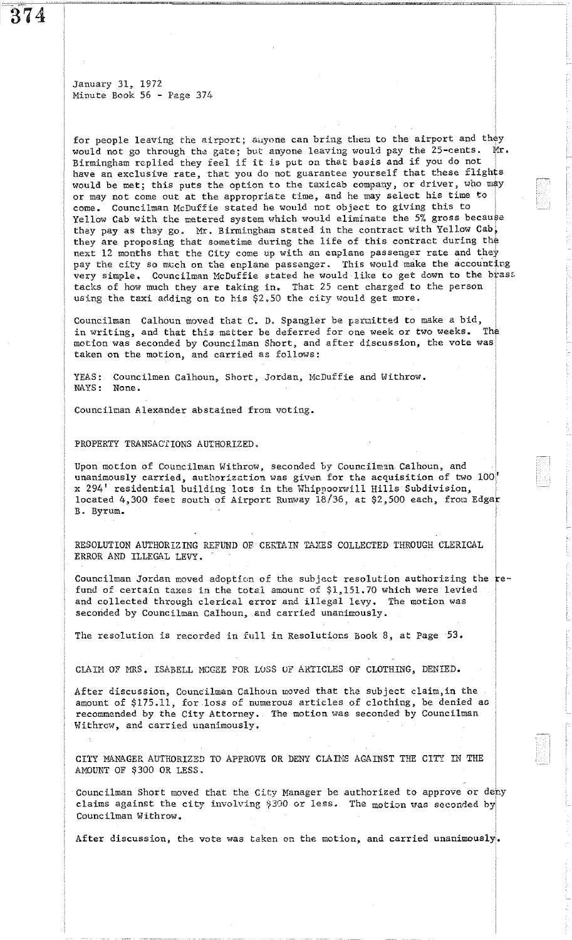for people leaving the airport; anyone can bring them to the airport and they<br>yould not go through the gate: but anyone leaving would ney the 25-cents. Mr. would not go through the gate; but anyone leaving would pay the 25-cents. Birmingham replied they feel if it is put on that basis and if you do not have an exclusive rate, that you do not guarantee yourself that these flights would be met; this puts the option to the taxicab company, or driver, who may **or may not come out at the appropriate time, and he may select his time to** ! come. Councilman McDuffie stated he would not object to giving this to Yellow Cab with the metered system which would eliminate the 5% gross because they pay as they go. Mr. Birmingham stated in the contract with Yellow Cab, they are proposing that sometime during the life of this contract during the next 12 months that the City come up with an enplane passenger rate and they pay the city so much on the enplane passenger. This would make the accounting very simple. Councilman McDuffie stated he would like to get down to the brass tacks of how much they are taking in. That 25 cent charged to the person using the taxi adding on to his  $52.50$  the city would get more.

Councilman Calhoun moved that C. D. Spangler be permitted to make a bid, in writing, and that this matter be deferred for one week or two weeks. The **motion was seconded by Councilman Short, and after discussion, the vote was <sup>i</sup> ;**  taken on the motion, and carried as follows:

YEAS: Councilmen Calhoun, Short, Jordan, McDuffie and Withrow. NAYS: None.

Councilman Alexander abstained from voting.

PROPERTY TRANSACTIONS AUTHORIZED.

Upon motion of Councilman Withrow, seconded by Councilman Calhoun, and **unanimously carried, authorizction was given for the acquisition of two 100:<sup>1</sup>** x 294' residential building lots in the Whippoorwill Hills Subdivision, . located 4,300 feet south of Airport Runway 18/36, at \$2,500 each, from Edgar B. Byrum.

RESOLUTION AUTHORIZING REFUND OF CERTAIN TAXES COLLECTED THROUGH CLERICAL ERROR AND ILLEGAL LEVY.

Councilman Jordan moved adoption of the subject resolution authorizing the refund of certain taxes in the total amount of  $$1,151.70$  which were levied and collected through clerical error and illegal levy. The motion was seconded by Councilman Calhoun, and carried unanimously.

The resolution is recorded in full in Resolutions Book 8, at Page 53.

CLAIM OF MRS. ISABELL MCGEE FOR LOSS OF ARTICLES OF CLOTHING, DENIED.

After discussion, Councilman Calhoun moved that the subject claim, in the amount of \$175.11, for loss of numerous articles of clothing, be denied as recommended by the City Attorney. The motion was seconded by Councilman Withrcw, and carried unanimously.

CITY MANAGER AUTHORIZED TO APPROVE OR DENY CLAIMS AGAINST THE CITY IN THE AMOUNT OF \$300 OR LESS.

Councilman Short moved that the City Manager be authorized to approve or depy **claims against the city involving \$300 or less. The motion was seconded by** Councilman Withrow.

After discussion, the vote was taken on the motion, and carried unanimously.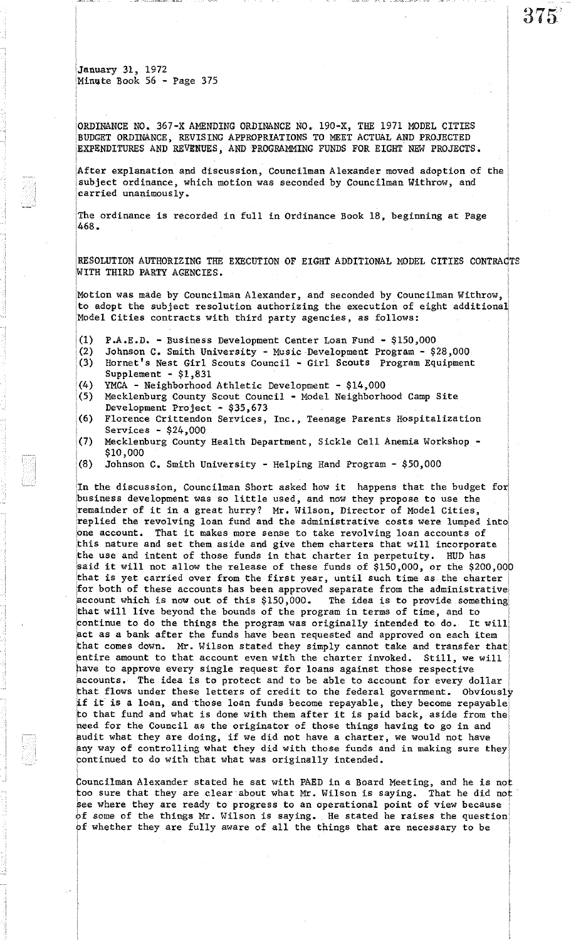i

iORDlNANCE NO. 367-X AMENDING ORDINANCE NO •. 190-X, THE 1971 MODEL CITIES IBUDGET ORDINANCE, REVISING APPROPRIATIONS TO MEET ACTUAL AND PROJECTED iEXPENDlTURES AND REVENUES, AND PROGRAMMING FUNDS FOR EIGHT NEW PROJECTS.

After explanation and discussion, Councilman Alexander moved adoption of the subject ordinance, which motion was seconded by Councilman Withrow, and carried unanimously.

The ordinance is recorded in full in Ordinance Book 18, beginning at Page 1468 •

RESOLUTION AUTHORIZING THE EXECUTION OF EIGHT ADDITIONAL MODEL CITIES CONTRACTS iWITH THIRD PARTY AGENCIES.

IMotion was made by Councilman Alexander, and seconded by Councilman Withrow, to adopt the subject resolution authorizing the execution of eight additional !Model Cities contracts with third party agencies, as follows:

- $(1)$ P.A.E.D. - Business Development Center Loan Fund - \$150,000
- $(2)$ Johnson C. Smith University - Music·Development Program - \$28,000
- $(3)$ Hornet's Nest Girl Scouts Council - Girl Scouts Program Equipment Supplement - \$1,831
- $(4)$ YMCA - Neighborhood Athletic Development - \$14,000
- (5) Mecklenburg County Scout Council Model Neighborhood Camp Site Development Project - \$35,673
- 1(6) Florence Crittendon Services, Inc., Teenage Parents Hospitalization Services - \$24,000
- $(7)$ Mecklenburg County Health Department, Sickle Cell Anemia Workshop - \$10,000
- 1(8) i Johnson C. Smith University - Helping Hand Program - \$50,000

In the discussion, Councilman Short asked how it happens that the budget for business development was so little used, and now they propose to use the [remainder of it in a great hurry? Mr. Wilson, Director of Model Cities, 'replied the revolving loan fund and the administrative costs were lumped intol lone account. That it makes more sense to take revolving loan accounts of lthis nature and set them aside and give them charters that will incorporate the use and intent of those funds in that charter in perpetuity. HUD has said it will not allow the release of these funds of \$150,000, or the \$200,000 that is yet carried over from the first year, until such time as the charter for both of these accounts has been approved separate from the administrative account which is now out of this \$150,000. The idea is to provide something that will live beyond the bounds of the program in terms of time, and to continue to do the things the program was originally intended to do. It will act as a bank after the funds have been requested and approved on each item that comes down. Mr. Wilson stated they simply cannot take and transfer that entire amount to that account even with the charter invoked. Still, we will have to approve every single request for loans against those respective accounts. The idea is to protect and to be able to account for every dollar that flows under these letters of credit to the federal government. Obviously if it is a loan, and those loan funds become repayable, they become repayable to that fund and what is done with them after it is paid back, aside from the need for the Council as the originator of those things having to go in and audit what they are doing, if we did not have a charter, we would not have any way of controlling what they did with those funds and in making sure they continued to do with that what was originally intended.

Councilman Alexander stated he sat with PAED in a Board Meeting, and he is not too sure that they are clear about what Mr. Wilson is saying. That he did not see where they are ready to progress to an operational point of view because of some of the things Mr. Wilson is saying. He stated he raises the question pf whether they are fully aware of all the things that are necessary to be

375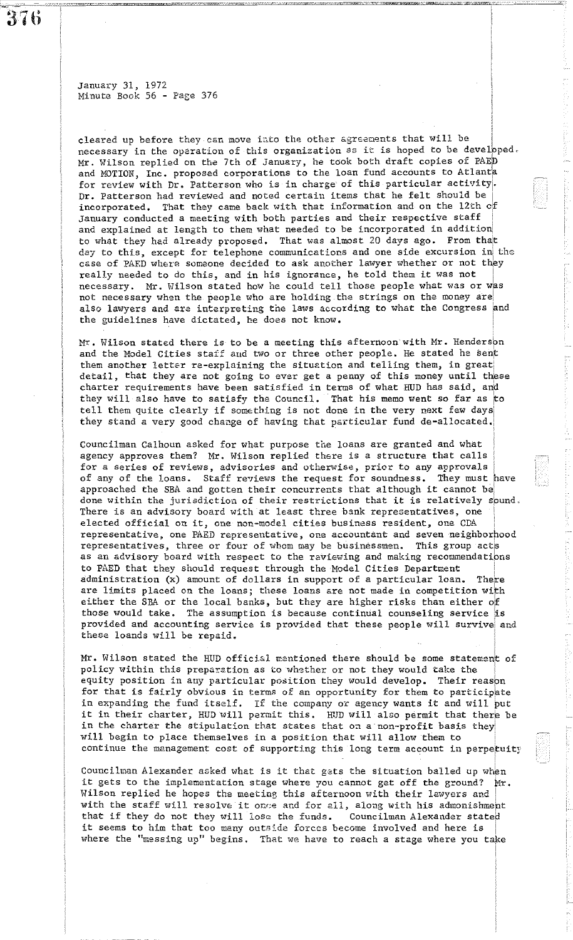**cleared up before they can move into the other agreements that will be** necessary in the operation of this organization as it is hoped to be developed. Mr. Wilson replied on the 7th of January, he took both draft copies of  $\mathtt{PAEP}$ and MOTION, Inc. proposed corporations to the loan fund accounts to Atlanta for review with Dr. Patterson who is in charge of this particular activity. Dr. Patterson had reviewed and noted certain items that he felt should be incorporated. That they came back with that information and on the 12th c'f January conducted a meeting with both parties and their respective staff and explained at length to them what needed to be incorporated in addition to what they had already proposed. That was almost 20 days ago. From that day to this, except for telephone communications and one side excursion in the case of PAED where someone decided to ask another lawyer whether or not they really needed to do this, and in his ignorance, he told them it was not necessary. Mr. Wilson stated how he could tell those people what was or was not necessary when the people who are holding the strings on the money are also lawyers and are interpreting the laws according to what the Congress and the guidelines have dictated, he does not know.

Mr. Wilson stated there is to be a meeting this afternoon with Mr. Henderson and the Model Cities staff and two or three other people. He stated he sent them another letter re-explaining the situation and telling them, in great detail, that they are not going to ever get a penny of this money until these charter requirements have been satisfied in terms of what HUD has said, and they will also have to satisfy the Council. That his memo went so far as to tell them quite clearly if something is not done in the very next few days they stand a very good change of having that particular fund de-allocated.

Councilman Calhoun asked for what purpose the loans are granted and what agency approves them? Mr. Wilson replied there is a structure that calls for a series of reviews, advisories and otherwise, prior to any approvals of any of the loans. Staff reviews the request for soundness. They must have approached the SBA and gotten their concurrents that although it cannot bel done within the jurisdiction of their restrictions that it is relatively sound. There is an advisory board with at least three bank representatives, one elected official on it, one non-model cities business resident, one CDA **representative, one PAED representative, one accountant and seven** neighbor~ood representatives, three or four of whom may be businessmen. This group acts **as an advisory board with respect to the raviewing and making recommendatibns**  to PAED that they should request through the Model Cities Department administration  $(x)$  amount of dollars in support of a particular loan. There are limits placed on the loans; these loans are not made in competition with either the SBA or the local banks, but they are higher risks than either of those would take. The assumption is because continual counseling service is provided and accounting service is provided that these people will survivel and these loands will be repaid.

Mr. Wilson stated the HUD official mentioned there should be some statement of **policy within this prepa:r.stion as \::0 whether or not they would 'take the** i equity position in any particular position they would develop. Their reaspn for that is fairly obvious in terms of an opportunity for them to participate in expanding the fund itself. If the company or agency wants it and will put it in their charter, HUD will permit this. HUD will also permit that there be in the charter the stipulation that states that on a non-profit basis they will begin to place themselves in a position that will allow them to continue the management cost of supporting this long term account in perpetuity

Councilman Alexander asked what is it that gats the situation balled up when it gets to the implementation stage where you cannot get off the ground?  $Mr.$ Wilson replied he hopes the meeting this afternoon with their lawyers and with the staff will resolve it once and for all, along with his admonishment that if they do not they will lose the funds. Councilman Alexander stated **it seems to him that too many outside forces become involved and here is** ! where the "messing up" begins. That we have to reach a stage where you take

37H

i i.

!<br>!<br>!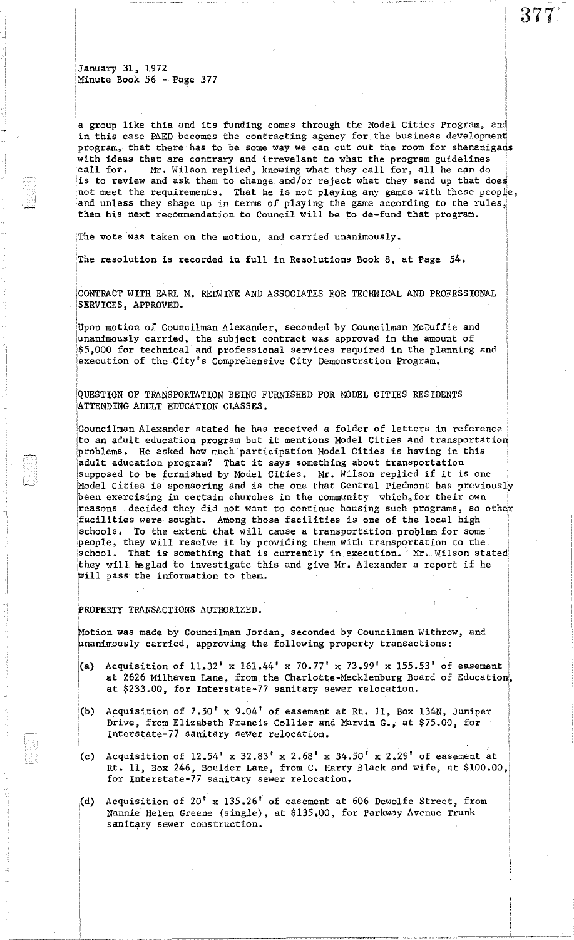I

!

! I

I

I

a group like thia and its funding comes through the Model Cities Program, and in this case PAED becomes the contracting agency for the business development program, that there has to be some way we can cut out the room for shenanigans with ideas that are contrary and irrevelant to what the program guidelines Icall for. Mr. Wilson replied, knowing what they call for, all he can do is to review and ask them to change and/or reject what they send up that does not meet the requirements. That he is not playing any games with these people, and unless they shape up in terms of playing the game according to the rules, then his next recommendation to Council will be to de-fund that program.

The vote was taken on the motion, and carried unanimously.

I The resolution is recorded in full in Resolutions Book 8, at Page  $54$ .

CONTRACT WITH EARL M. REDWINE AND ASSOCIATES FOR TECHNICAL AND PROFESSIONAL !SERVICES, APPROVED.

IUpon motion of Councilman Alexander, seconded by Councilman McDuffie and lunanimous1y carried, the subject contract was approved in the amount of \$5,000 for technical and professional services required in the planning and execution of the City's Comprehensive City Demonstration Program.

[QUESTION OF TRANSPORTATION BEING FURNISHED FOR MODEL CITIES RESIDENTS ATTENDING ADULT EDUCATION CLASSES.

Councilman Alexander stated he has received a folder of letters in reference to an adult education program but it mentions Model Cities and transportation !problems. He asked how much participation Model Cities is having in this adult education program? That it says something about transportation supposed to be furnished by Model Cities. Mr. Wilson replied if it is one Model Cities is sponsoring and is the one that Central Piedmont has previously Ibeen exercising in certain churches in the community which, for their own reasons decided they did not want to continue housing such programs, so other facilities were sought. Among those facilities is one of the local high schools. To the extent that will cause a transportation problem for some people, they will resolve it by providing them with transportation to the  $school.$  That is something that is currently in execution. Mr. Wilson stated they will beglad to investigate this and give Mr. Alexander a report if he will pass the information to them.

PROPERTY TRANSACTIONS AUTHORIZED.

|<br>Motion was made by Councilman Jordan, seconded by Councilman Withrow, and fnanimously carried, approving the following property transactions:

- i<br>.<br>. (a) Acquisition of  $11.32'$  x  $161.44'$  x  $70.77'$  x  $73.99'$  x  $155.53'$  of easement :<br>:<br>:<br>: at 2626 Milhaven Lane, from the Charlotte-Mecklenburg Board of Education, at \$233.00, for Interstate-77 sanitary sewer relocation.
- |<br>|<br>!  $(b)$ I Acquisition of 7.50' x 9.04' of easement at Rt. 11, Box 134N, Juniper Drive, from Elizabeth Francis Collier and Marvin *G.,* at \$75.00, for Interstate-77 sanitary sewer relocation.
- (c) Acquisition of  $12.54' \times 32.83' \times 2.68' \times 34.50' \times 2.29'$  of easement at Rt. 11, Box 246, Boulder Lane, from C. Harry Black and Wife, at \$100.00, for Interstate-77 sanitary sewer relocation.
- (d) Acquisition of  $20' \times 135.26'$  of easement at 606 Dewolfe Street, from Nannie Helen Greene (single), at \$135.00, for Parkway Avenue Trunk sanitary sewer construction.

377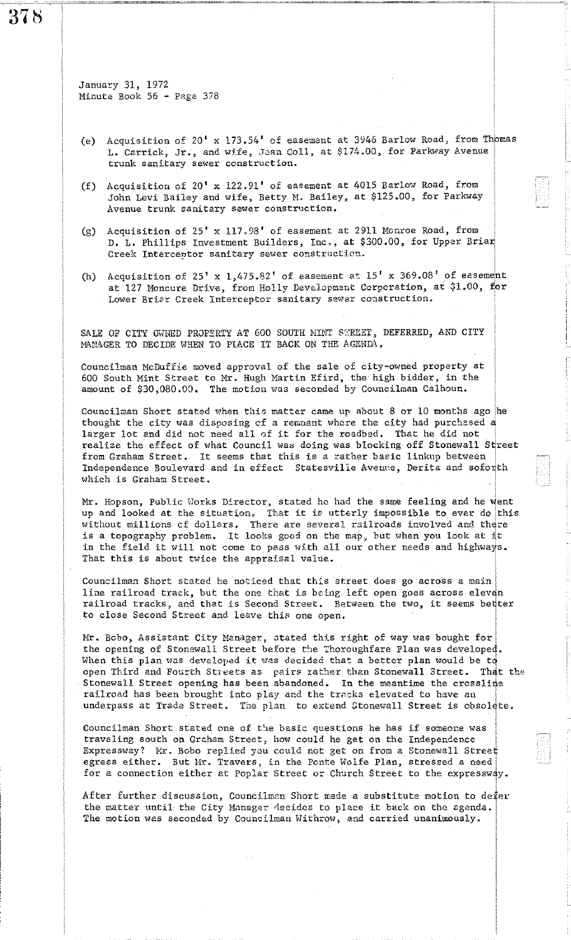**37H** 

January 31, 1972 Minute Book 56 - Page 378

- (e) Acquisition of 20' x 173.54' of easement at 3946 Barlow Road, from Thbmas L. Carrick, Jr., and wife, Jean Coll, at \$174.00, for Parkway Avenue trunk sanitary sewer construction.
- (f) Acquisition of  $20' \times 122.91'$  of easement at 4015 Barlow Road, from John Levi Bailey and wife, Betty M. Bailey, at \$125.00, for Parkway Avenue trunk sanitary sewer construction.
- (g) Acquisition of 25' x 117.98' of easement at 2911 Monroe Road, from D. L. Phillips Investment Builders, Inc., at \$300.00, for Upper Brian **Creek Interceptor sanitary sewer construction.**
- (h) Acquisition of 25' x 1,475.82' of easement at  $15'$  x 369.08' of easement at 127 Moncure Drive, from Holly Development Corporation, at \$1.00, for Lower Briar Creek Interceptor sanitary sewer construction.

SALE OF CITY OWNED PROPERTY AT 600 SOUTH MINT STREET, DEFERRED, AND CITY MANAGER TO DECIDE WHEN TO PLACE IT BACK ON THE AGENDA.

Councilman McDuffie moved approval of the sale of city-owned property at 600 South Mint Street to Mr. Hugh Martin Efird, the· high bidder, in the amount of \$30,080.00. The motion was seconded by Councilman Calhoun.

Councilman Short stated when this matter came up about 8 or 10 months ago he thought the city was disposing of a remnant where the city had purchased a larger lot end did not need all of it for the roadbed. That he did not realize the effect of what Council was doing was blocking off Stonewall Street from Graham Street. It seems that this is a rather basic linkup between Independence Boulevard and in effect Statesville Avenue, Derita and sofonth which is Graham Street. Ĭ.

I Mr. Hopson, Public Works Director, stated he had the same feeling and he went up and looked at the situation. That it is utterly impossible to ever do this without millions cf dollars. There are several railroads involved and there is a topography problem. It looks good on the map, but when you look at it in the field it will not come to pass with all our other needs and highways. That this is about twice the appraisal value.

**Councilman Short stated he noticed that this 'street 40es go across a main** i line railroad track, but the one that is being left open goes across eleven railroad tracks, but the bid that is being itle open goes delobs eleven<br>railroad tracks, and that is Second Street. Between the two, it seems better to close Second Street and leave this one open.

Mr. Bobo, Assistant City Manager, atated this right of way was bought for the opening of Stonewall Street before the Thoroughfare Plan was developed. **When this plan was developed it was decided that a better plan would be to** open Third and Fourth Streets as pairs rather than Stonewall Street. That the Stonewall Street opening has been abandoned. In the meantime the crossline railroad has been brought into play and the tracks elevated to have an underpass at Trade Street. The plan to extend Stonewall Street is obsolete.

Councilman Short stated one of the basic questions he has if someone was traveling south on Graham Street, how could he get on the Independence Expressway? Mr. Bcbo replied you could not get on from a Stonewall Street egress either. But Mr. Travers, in the Ponte Wolfe Plan, stressed a need for a connection either at Poplar Street or Church Street to the expressway.

 $\mathbb{E}$ 

 $\begin{array}{c}\n\overline{11}\n\overline{11}\n\end{array}$ 

After further discussion, Councilman Short made a substitute motion to defer the matter until the City Manager decides to place it back on the agenda. The motion was seconded by Councilman Withrow, and carried unanimously.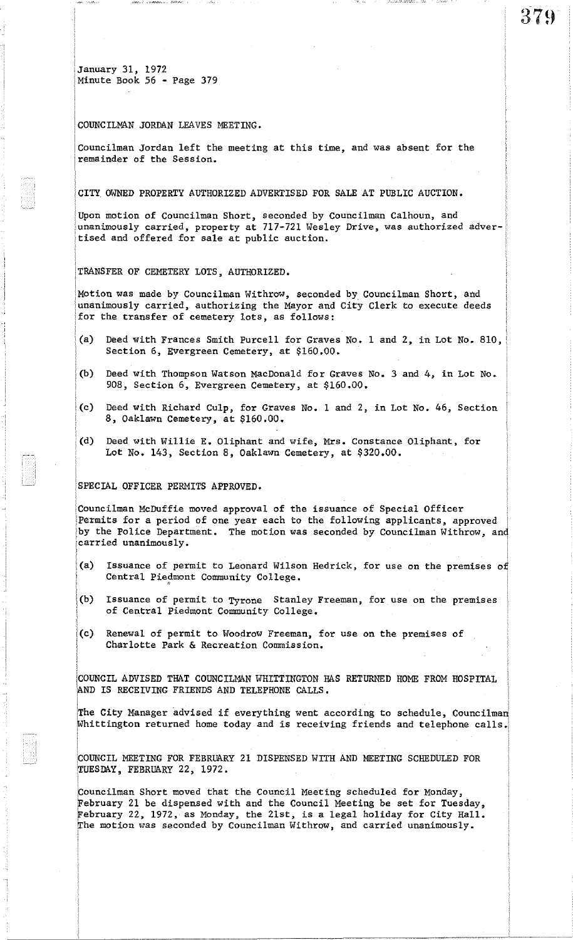37B

January 31, 1972 Minute Book 56 - Page 379

#### COUNCILMAN JORDAN LEAVES MEETING.

Councilman Jordan left the meeting at this time, and was absent for the remainder of the Session.

## CITY. OWNED PROPERTY AUTHORIZED ADVERTISED FOR SALE AT PUBLIC AUCTION.

Upon motion of Councilman Short, seconded by Councilman Calhoun, and unanimously carried, property at 717-721 Wesley Drive, was authorized advertised and offered for sale at public auction.

# TRANSFER OF CEMETERY LOTS, AUTHORIZED.

Motion was made by Councilman Withrow, seconded by Councilman Short, and unanimously carried, authorizing the Mayor and City Clerk to execute deeds for the transfer of cemetery lots, as follows:

- (a) Deed with Frances Smith Purcell for Graves No. 1 and 2, in Lot No. 810, Section 6, Evergreen Cemetery, at \$160.00.
- (b) Deed with Thompson Watson MacDonald for Graves No. 3 and 4, in Lot No. 908, Section 6, Evergreen Cemetery, at \$160.00.
- $(c)$ Deed with Richard Culp, for Graves No. 1 and 2, in Lot No. 46, Section 8, Oaklawn Cemetery, at \$160.00.
- $(d)$ Deed with Willie E. Oliphant and wife, Mrs. Constance Oliphant, for Lot No. 143, Section 8, Oaklawn Cemetery, at \$320.00.

### SPECIAL OFFICER PERMITS APPROVED.

!

Councilman McDuffie moved approval of the issuance of Special Officer Permits for a period of one year each to the following applicants, approved by the Police Department. The motion was seconded by Councilman Withrow, and carried unanimously.

- (a) Issuance of permit to Leonard Wilson Hedrick, for use on the premises of Central Piedmont Community College.
- $(b)$ Issuance of permit to Tyrone Stanley Freeman, for use on the premises of Central Piedmont Community College.
- $(c)$ i Renewal of permit to Woodrow Freeman, for USe on the premises of Charlotte Park & Recreation Commission.

COUNCIL ADVISED THAT COUNCILMAN WHITTINGTON HAS RETURNED HOME FROM HOSPITAL AND IS RECEIVING FRIENDS AND TELEPHONE CALLS.

The City Manager advised if everything went according to schedule, Councilman Whittington returned home today and is receiving friends and telephone calls.

[COUNCIL MEETING FOR FEBRUARY 21 DISPENSED WITH AND MEETING SCHEDULED FOR \TUESDAY, FEBRUARY 22, 1972.

:Councilman Short moved that the Council Meeting scheduled for Monday, !February 21 be dispensed with and the Council Meeting be set for Tuesday. ~ebruary 22, 1972, as Monday, the 21st, is a legal holiday for City Ha11. The motion was seconded by Councilman Withrow, and carried unanimously.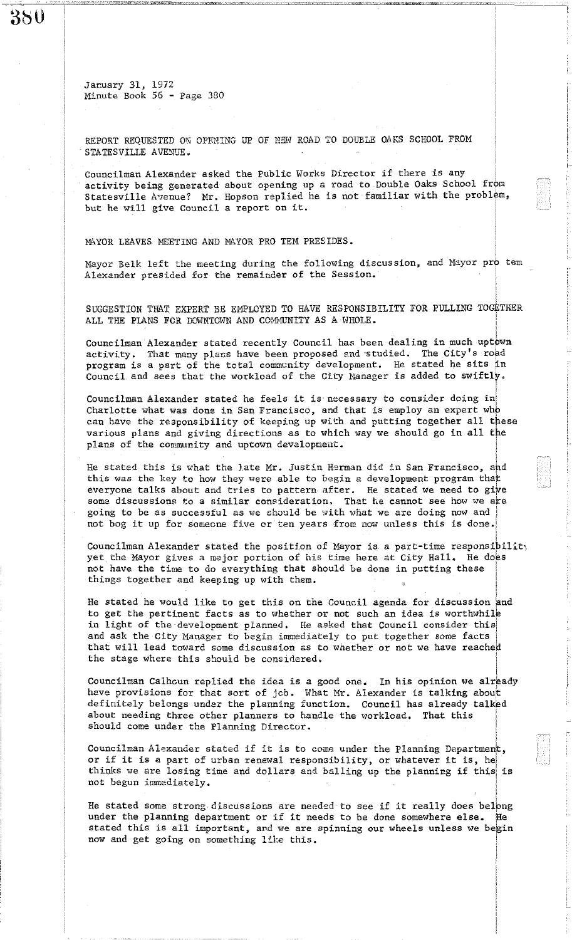REPORT REQUESTED ON OPENING UP OF NEW ROAD TO DOUBLE OAKS SCHOOL FROM STATESVILLE AVENUE.

Councilman Alexander asked the Public Works Director if there is any activity being generated about opening up a road to Double Oaks School from Statesville Avenue? Mr. Hopson replied he is not familiar with the problem, but he will give Council a report on it.

MAYOR LEAVES MEETING AND MAYOR PRO TEM PRESIDES.

Mayor Belk left the meeting during the following discussion, and Mayor pro tem Alexander presided for the remainder of the Session.

SUGGESTION THAT EXPERT BE EMPLOYED TO HAVE RESPONSIBILITY FOR PULLING TOCETHER ALL THE PIANS FOR DOWNTOWN AND COMMUNITY AS A WHOLE. ,,,,,,,,,,,

Councilman Alexander stated recently Council has been dealing in much uptown activity. That many plans have been proposed and studied. The City's road program is a part of the tctal community development. He stated he sits in Council and sees that the workload of the City Manager is added to swiftly.

Councilman Alexander stated he feels it is necessary to consider doing  $\left| \text{in} \right|$ Charlotte what was done in San Francisco, and that is employ an expert who can have the responsibility of keeping up with and putting together all these various plans and giving directions as to which way we should go in all the plans of the community and uptown development.

He stated this is what the late Mr. Justin Herman did in San Francisco, and this was the key to how they were able to begin a development program that everyone talks about and tries to pattern after. He stated we need to give **some discussions to a similar** consideration~ **That he cannot see how we are**  going to be as successful as we should be with what we are doing now and not bog it up for someone five or ten years from now unless this is done.

.<br>Councilman Alexander stated the position of Mayor is a part-time responsipility yet the Mayor gives a major portion of his time here at City Hall. He does not have the time to do everything that should be done in putting these things together and keeping up with them.

He stated he would like to get this on the Council agenda for discussion and to get the pertinent facts as to whether or not such an idea is worthwhile in light of the development planned. He asked that Council consider this and ask the City Manager to begin immediately to put together some facts that will lead toward some discussion as to whether or not we have reached the stage where this should be considered.

Councilman Calhoun replied the idea is a good one. In his opinion we already have provisions for that sort of jcb. What Mr. Alexander is talking about definitely belongs under the planning function. Council has already talked about needing three other planners to handle the workload. That this should come under the Planning Director.

.<br>Councilman Alexander stated if it is to come under the Planning Department, or if it is a part of urban renewal responsibility, or whatever it is, he thinks we are losing time and dollars and balling up the planning if this is not begun immediately.

He stated some strong discussions are needed to see if it really does belong under the planning department or if it needs to be done somewhere else. He stated this is all important, and we are spinning our wheels unless we begin now and get going on something like this.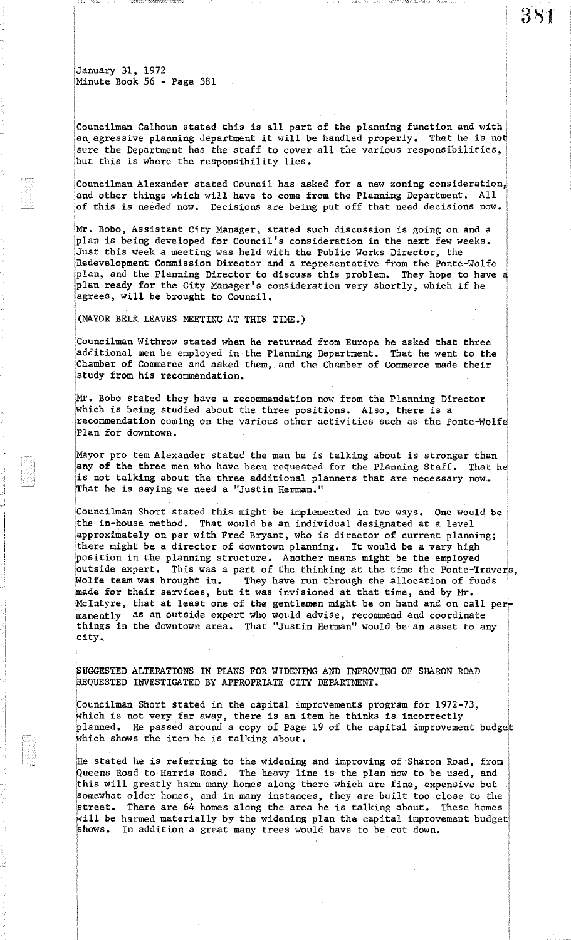Councilman Calhoun stated this is all part of the planning function and with an agressive planning department it will be handled properly. That he is not sure the Department has the staff to cover all the various responsibilities, but this is where the responsibility lies.

Councilman Alexander stated Council has asked for a new zoning consideration, and other things which will have to come from the Planning Department. All of this is needed now, Decisions are being put off that need decisions now.

Mr. Bobo, Assistant City Manager, stated such discussion is going on and a plan is being developed for Council's consideration in the next few weeks. Just this week a meeting was held with the Public Works Director, the Redevelopment Commission Director and a representative from the Ponte-Wolfe plan, and the Planning Director to discuss this problem. They hope to have a plan ready for the City Manager's consideration very shortly, which if he agrees, will be brought to Council.

(MAYOR BELK LEAVES MEETING AT THIS TIME.)

;

I ;

Councilman Withrow stated when he returned from Europe he asked that three additional men be employed in the Planning Department. That he went to the Chamber of Commerce and asked them, and the Chamber of Commerce made their study from his recommendation.

IMr. Bobo stated they have a recommendation now from the Planning Director which is being studied about the three positions. Also, there is a recommendation coming on the various other activities such as the Ponte-Wolfe Plan for downtown. plan ready for the City Manager's consideration very shortly, which if he<br>agrees, will be brought to Council.<br>(MAYOR BELK LEAVES MEETING AT THIS TIME.)<br>Councilman Withrow stated when he returned from Europe he asked that t

i<br>İ Mayor pro tem Alexander stated the man he is talking about is stronger than any of the three men who have been requested for the Planning Staff. That he is not talking about the three additional planners that are necessary now. That he is saying we need a "Justin Herman."

!Councilman Short stated this might be implemented in two ways. One would be the in-house method. That would be an individual designated at a level lapproximately on par with Fred Bryant, who is director of current planning; there might be a director of downtown planning. It would be a very high position in the planning structure. Another means might be the employed outside expert. This was a part of the thinking at the time the Ponte-Travers,<br>Wolfe team was brought in. Ihey have run through the allocation of funds They have run through the allocation of funds made for their services, but it was invisioned at that time, and by Mr. McIntyre, that at least one of the gentlemen might be on hand and on call permanently as an outside expert who would advise, recommend and coordinate things in the downtown area. That "Justin Herman" would be an asset to any city.

SUGGESTED ALTERATIONS IN PLANS FOR WIDENING AND IMPROVING OF SHARON ROAD REQUESTED INVESTIGATED BY APPROPRIATE CITY DEPARTMENT.

iCouncilman Short stated in the capital improvements program for 1972-73, which is not very far away, there is an item he thinks is incorrectly planned. He passed around a copy of Page 19 of the capital improvement budget which shows the item he is talking about.

He stated he is referring to the widening and improving of Sharon Road, from Queens Road to Harris Road. The heavy line is the plan now to be used, and ithis will greatly harm many homes along there which are fine, expensive but somewhat older homes, and in many instances, they are built too close to the street. There are  $64$  homes along the area he is talking about. These homes  $\,$  will be harmed materially by the widening plan the capital improvement budget  $\,$ shows. In addition a great many trees would have to be cut down.

3Hl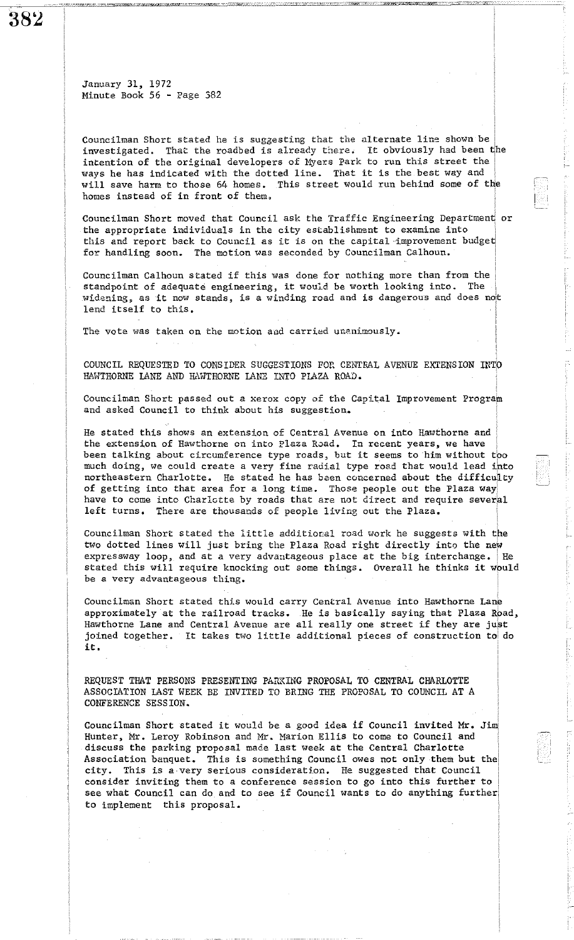**38:;'** 

January 31, 1972 Minute Book 56 - Page 382

**Councilman Short stated he is suggesting that the alternate line shown be** I investigated. That the roadbed is already there. It obviously had been the intention of the original developers of Myers Park to run this street the ways he has indicated with the dotted line. That it is the best way and ' will save harm to those 64 homes. This street would run behind some of the homes instead of in front of them. I

Councilman Short moved that Council ask the Traffic Engineering Department or the appropriate individuals in the city establishment to examine into this and report back to Council as it is on the capital improvement budget for handling soon. The motion was seconded by Councilman Calhoun. '

Councilman Calhoun stated if this was done for nothing more than from the standpoint of adequate engineering, it would be worth looking into. The widening, as it now stands, is a winding road and is dangerous and does not lend itself to this.

The vote was taken on the motion and carried unanimously.

COUNCIL REQUESTED TO CONSIDER SUGGESTIONS FOR CENTRAL AVENUE EXTENSION INTO HAWTHORNE LANE AND HAWTHORNE LANE INTO PLAZA ROAD.

Councilman Short passed out a xerox copy of the Capital Improvement Program and asked Council to think about his suggestion.

He stated this shows an extension of Central Avenue on into Hawthorne and the extension of Hawthorne on into Plaza Road. In recent years, we have been talking about circumference type roads, but it seems to him without too much doing, we could create a very fine radial type road that would lead into northeastern Charlotte. He stated he has been concerned about the difficullty of getting into that area for a long time. Those people out the Plaza way have to come into Charlotte by roads that are not direct and require several left turns. There are thousands of people living out the Plaza.

Councilman Short stated the little additional road work he suggests with the two dotted lines will just bring the Plaza Road right directly into the new expressway loop, and at a very advantageous place at the big interchange. | He stated this will require knocking out some things. Overall he thinks it would be a very advantageous thing.

Councilman Short stated this would carry Central Avenue into Hawthorne Lane approximately at the railroad tracks. He is basically saying that Plaza Road, Hawthorne Lane and Central Avenue are all really one street if they are just joined together. It takes two little additional pieces of construction to' do **it.** 

REQUEST THAT PERSONS PRESENTING PARKING PROPOSAL TO CENTRAL CHARLOTTE ASSOCIATION LAST WEEK BE INVITED TO BRING THE PROPOSAL TO COUNCIL AT A CONFERENCE SESSION.

Councilman Short stated it would be a good idea if Council invited Mr. Jim Hunter, Mr. Leroy Robinson and Mr. Marion Ellis to come to Council and discuss the parking proposal made last week at the Central Charlotte Association banquet. This is something Council owes not only them but thel city. This is a very serious consideration. He suggested that Council consider inviting them to a conference session to go into this further to see what Council can do and to see if Council wants to do anything further to implement this proposal.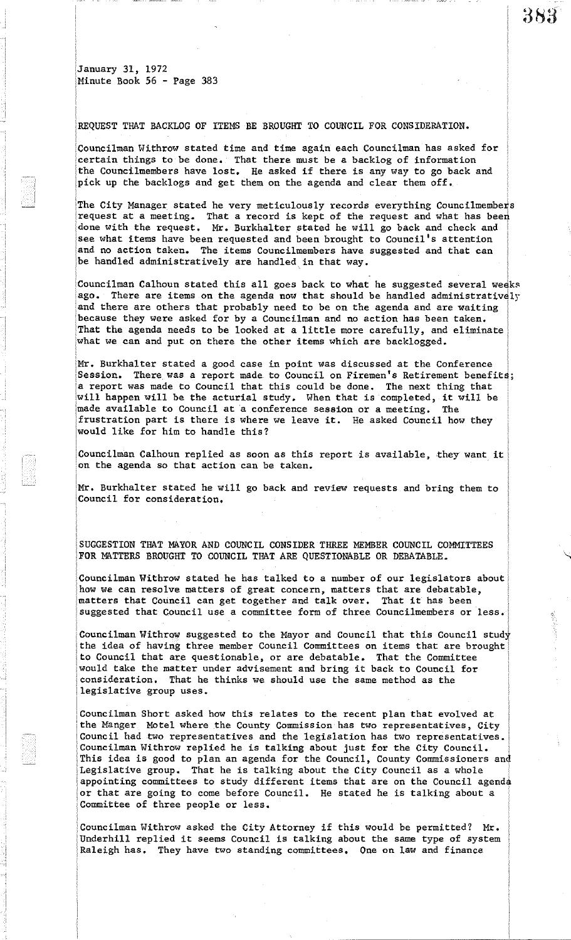383

**图 化反应性** 

[January 31, 1972 IMinute Book 56 - Page 383

1

lREQUEST THAT BACKLOG OF ITEMS BE BROUGHT TO COUNCIL FOR CONSIDERATION.

Councilman Withrow stated time and time again each Councilman has asked for certain things to be done. That there must be a backlog of information the Councilmembers have lost. He asked if there is any way to go back and pick up the backlogs and get them on the agenda and clear them off.

The City Manager stated he very meticulously records everything Councilmembers request at a meeting. That a record is kept of the request and what has been done with the request. Mr. Burkhalter stated he will go back and check and see what items have been requested and been brought to Council's attention and no action taken. The items Councilmembers have suggested and that can be handled administratively are handled in that way.

Councilman Calhoun stated this all goes back to what he suggested several weeks ago. There are items on the agenda now that should be handled administratively and there are others that probably need to be on the agenda and are waiting because they were asked for by a Councilman and no action has been taken. That the agenda needs to be looked at a little more carefully, and eliminate what we can and put on there the other items which are backlogged.

Mr. Burkhalter stated a good case in point was discussed at the Conference Session. There was a report made to Council on Firemen's Retirement benefits; a report was made to Council that this could be done. The next thing that will happen will be the acturial study. When that is completed, it will be made available to Council at a conference session or a meeting. The frustration part is there is where we leave it. He asked Council how they would like for him to handle this?

Councilman Calhoun replied as soon as this report is available, they want it on the agenda so that action can be taken.

Mr. Burkhalter stated he will go back and review requests and bring them to Council for consideration.

: SUGGESTION THAT MAYOR AND COUNCIL CONSIDER THREE MEMBER COUNCIL COMMITTEES FOR MATTERS BROUGHT TO COUNCIL THAT ARE QUESTIONABLE OR DEBATABLE.

Councilman Withrow stated he has talked to a number of our legislators about how we can resolve matters of great concern, matters that are debatable, matters that Council can get together and talk over. That it has been suggested that Council use a committee form of three Councilmembers or less.

Councilman Withrow suggested to the Mayor and Council that this Council study the idea of having three member Council Committees on items that are brought to Council that are questionable, or are debatable. That the Committee would take the matter under advisement and bring it back to Council for consideration. That he thinks we should use the same method as the legislative group uses.

Councilman Short asked how this relates to the recent plan that evolved at the Manger Motel where the County Commission has two representatives, City Council had two representatives and the legislation has two representatives. Councilman Withrow replied he is talking about just for the City Council. This idea is good to plan an agenda for the Council, County Commissioners and Legislative group. That he is talking about the City Council as a whole appointing committees to study different items that are on the Council agenda or that are going to come before Council. He stated he is talking about a Committee of three people or less.

Councilman Withrow asked the City Attorney if this would be permitted? Mr. Underhill replied it seems Council is talking about the same type of system Raleigh has. They have two standing committees. One on law and finance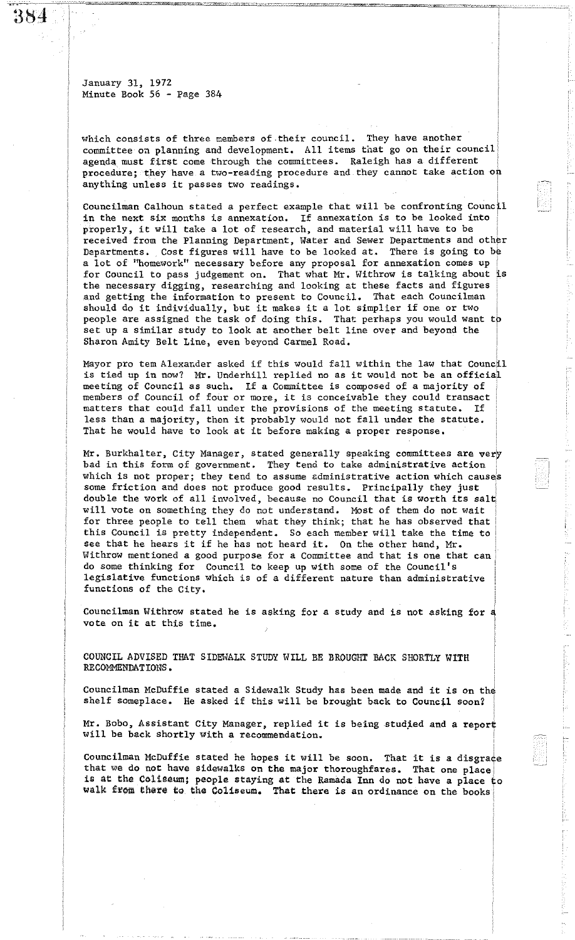which consists of three members of their council. They have another committee on planning and development. All items that go on their council agenda must first come through the committees. Raleigh has a different procedure; they have a two-reading procedure and they cannot take action on anything unless it passes two readings.

i  $\mathsf{P}$ 

Councilman Calhoun stated a perfect example that will be confronting Council in the next six months is annexation. If annexation is to be looked into properly, it will take a lot of research, and material will have to be received from the Planning Department, Water and Sewer Departments and other Departments. Cost figures will have to be looked at. There is going to be a lot of "homework" necessary before any proposal for annexation comes up for Council to pass judgement on. That what Mr. Withrow is talking about is the necessary digging, researching and looking at these facts and figures and getting the information to present to Council. That each Councilman should do it individually, but it makes it a lot simplier if one or two people are assigned the task of doing this. That perhaps you would want to set up a similar study to look at another belt line over and beyond the Sharon Amity Belt Line, even beyond Carmel Road.

Mayor pro tem Alexander asked if this would fall within the law that Council is tied up in now? Mr. Underhill replied no as it would not be an official meeting of Council as such. If a Committee is composed of a majority of members of Council of four or more, it is conceivable they could transact matters that could fall under the provisions of the meeting statute. If dess than a majority, then it probably would not fall under the statute. That he would have to look at it before making a proper response.

Mr. Burkhalter, City Manager, stated generally speaking committees are very bad in this form of government. They tend to take administrative action which is not proper; they tend to assume administrative action which causes some friction and does not produce good results. Principally they just ' double the work of all involved, because no Council that is worth its salt will vote on something they do not understand. Most of them do not wait for three people to tell them what they think; that he has observed that this Council is pretty independent. So each member will take the time to see that he hears it if he has not heard it. On the other hand, Mr. Withrow mentioned a good purpose for a Committee and that is one that can· do some thinking for Council to keep up with some of the Council's legislative functions which is of a different nature than administrative functions of the City.

Councilman Withrow stated he is asking for a study and is not asking for  $d$ vote on it at this time.

COUNCIL ADVISED THAT SIDEWALK STUDY WILL BE BROUGHT BACK SHORTLY WITH RECOMMENDATIONS.

Councilman McDuffie stated a Sidewalk Study has been made and it is On thd shelf someplace. He asked if this will be brought back to Council soon?

Mr. Bobo, Assistant City Manager, replied it is being studied and a report will be back shortly with a recommendation.

Councilman McDuffie stated he hopes it will be soon. That it is a disgrace that we do not have sidewalks on the major thoroughfares. That one place is at the Coliseum; people staying at the Ramada Inn do not have a place to walk from there to the Coliseum. That there is an ordinance on the books